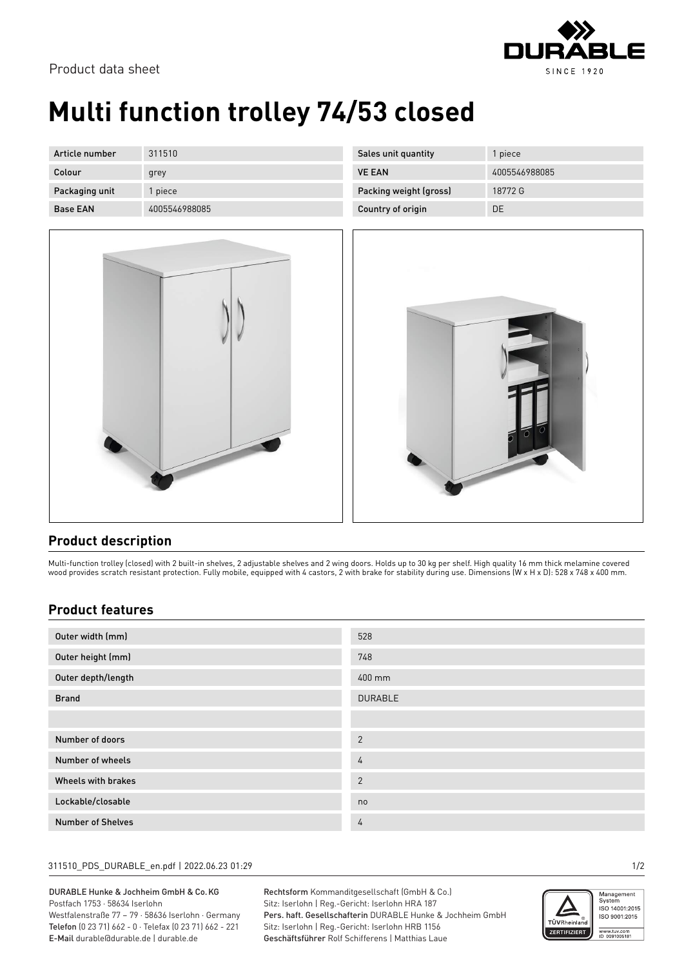

Product data sheet

# **Multi function trolley 74/53 closed**

| Article number  | 311510        | S |
|-----------------|---------------|---|
| Colour          | grey          |   |
| Packaging unit  | 1 piece       |   |
| <b>Base EAN</b> | 4005546988085 |   |



| Sales unit quantity    | 1 piece       |
|------------------------|---------------|
| <b>VE FAN</b>          | 4005546988085 |
| Packing weight (gross) | 18772G        |
| Country of origin      | DE            |



### **Product description**

Multi-function trolley (closed) with 2 built-in shelves, 2 adjustable shelves and 2 wing doors. Holds up to 30 kg per shelf. High quality 16 mm thick melamine covered wood provides scratch resistant protection. Fully mobile, equipped with 4 castors, 2 with brake for stability during use. Dimensions (W x H x D): 528 x 748 x 400 mm.

### **Product features**

| Outer width (mm)   | 528            |
|--------------------|----------------|
| Outer height (mm)  | 748            |
| Outer depth/length | 400 mm         |
| <b>Brand</b>       | <b>DURABLE</b> |
|                    |                |
|                    |                |
| Number of doors    | $\overline{2}$ |
| Number of wheels   | 4              |
| Wheels with brakes | $\overline{2}$ |
| Lockable/closable  | no             |

#### 311510\_PDS\_DURABLE\_en.pdf | 2022.06.23 01:29 1/2

DURABLE Hunke & Jochheim GmbH & Co.KG Postfach 1753 · 58634 Iserlohn Westfalenstraße 77 – 79 · 58636 Iserlohn · Germany

Telefon (0 23 71) 662 - 0 · Telefax (0 23 71) 662 - 221 E-Mail durable@durable.de | durable.de

Rechtsform Kommanditgesellschaft (GmbH & Co.) Sitz: Iserlohn | Reg.-Gericht: Iserlohn HRA 187 Pers. haft. Gesellschafterin DURABLE Hunke & Jochheim GmbH Sitz: Iserlohn | Reg.-Gericht: Iserlohn HRB 1156 Geschäftsführer Rolf Schifferens | Matthias Laue